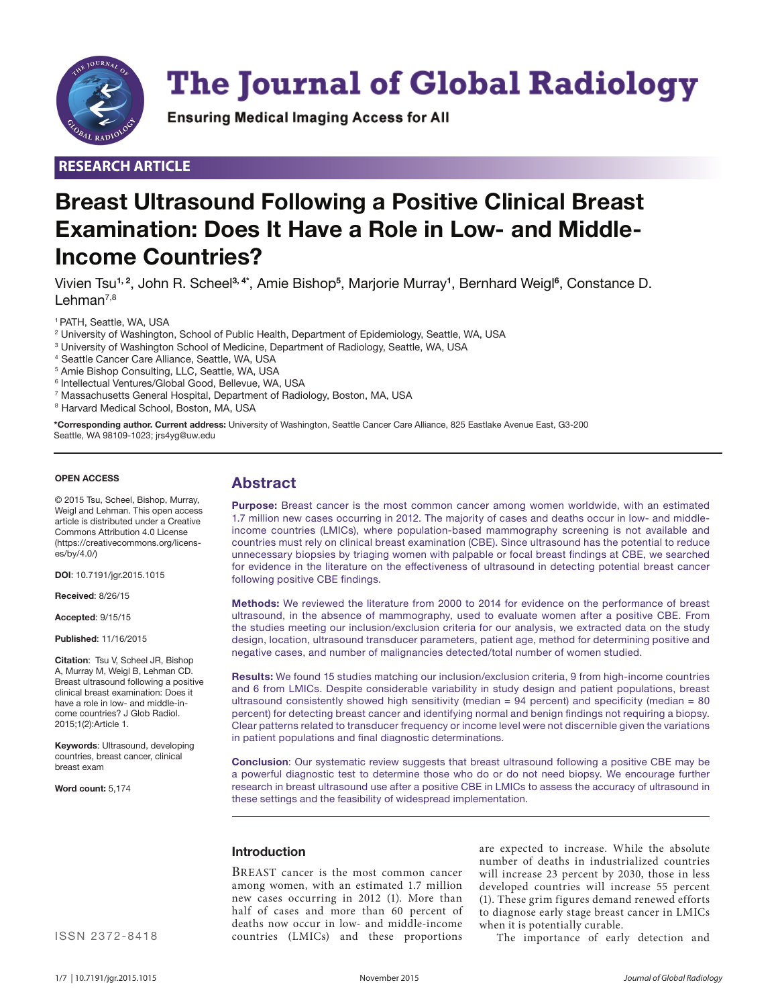

# **The Journal of Global Radiology**

**Ensuring Medical Imaging Access for All** 

### **RESEARCH ARTICLE**

# **Breast Ultrasound Following a Positive Clinical Breast Examination: Does It Have a Role in Low- and Middle-Income Countries?**

Vivien Tsu**1, 2**, John R. Scheel**3, 4\*** , Amie Bishop**<sup>5</sup>** , Marjorie Murray**<sup>1</sup>** , Bernhard Weigl**<sup>6</sup>** , Constance D. Lehman<sup>7,8</sup>

1 PATH, Seattle, WA, USA

- $^{\rm 2}$  University of Washington, School of Public Health, Department of Epidemiology, Seattle, WA, USA
- 3 University of Washington School of Medicine, Department of Radiology, Seattle, WA, USA
- 4 Seattle Cancer Care Alliance, Seattle, WA, USA
- 5 Amie Bishop Consulting, LLC, Seattle, WA, USA
- 6 Intellectual Ventures/Global Good, Bellevue, WA, USA
- 7 Massachusetts General Hospital, Department of Radiology, Boston, MA, USA
- <sup>8</sup> Harvard Medical School, Boston, MA, USA

**\*Corresponding author. Current address:** University of Washington, Seattle Cancer Care Alliance, 825 Eastlake Avenue East, G3-200 Seattle, WA 98109-1023; jrs4yg@uw.edu

#### **OPEN ACCESS**

© 2015 Tsu, Scheel, Bishop, Murray, Weigl and Lehman. This open access article is distributed under a Creative Commons Attribution 4.0 License (https://creativecommons.org/licenses/by/4.0/)

**DOI**: 10.7191/jgr.2015.1015

**Received**: 8/26/15

**Accepted**: 9/15/15

**Published**: 11/16/2015

**Citation**: Tsu V, Scheel JR, Bishop A, Murray M, Weigl B, Lehman CD. Breast ultrasound following a positive clinical breast examination: Does it have a role in low- and middle-income countries? J Glob Radiol. 2015;1(2):Article 1.

**Keywords**: Ultrasound, developing countries, breast cancer, clinical breast exam

**Word count:** 5,174

## **Abstract**

**Purpose:** Breast cancer is the most common cancer among women worldwide, with an estimated 1.7 million new cases occurring in 2012. The majority of cases and deaths occur in low- and middleincome countries (LMICs), where population-based mammography screening is not available and countries must rely on clinical breast examination (CBE). Since ultrasound has the potential to reduce unnecessary biopsies by triaging women with palpable or focal breast findings at CBE, we searched for evidence in the literature on the effectiveness of ultrasound in detecting potential breast cancer following positive CBE findings.

**Methods:** We reviewed the literature from 2000 to 2014 for evidence on the performance of breast ultrasound, in the absence of mammography, used to evaluate women after a positive CBE. From the studies meeting our inclusion/exclusion criteria for our analysis, we extracted data on the study design, location, ultrasound transducer parameters, patient age, method for determining positive and negative cases, and number of malignancies detected/total number of women studied.

**Results:** We found 15 studies matching our inclusion/exclusion criteria, 9 from high-income countries and 6 from LMICs. Despite considerable variability in study design and patient populations, breast ultrasound consistently showed high sensitivity (median =  $94$  percent) and specificity (median =  $80$ percent) for detecting breast cancer and identifying normal and benign findings not requiring a biopsy. Clear patterns related to transducer frequency or income level were not discernible given the variations in patient populations and final diagnostic determinations.

**Conclusion**: Our systematic review suggests that breast ultrasound following a positive CBE may be a powerful diagnostic test to determine those who do or do not need biopsy. We encourage further research in breast ultrasound use after a positive CBE in LMICs to assess the accuracy of ultrasound in these settings and the feasibility of widespread implementation.

#### **Introduction**

BREAST cancer is the most common cancer among women, with an estimated 1.7 million new cases occurring in 2012 (1). More than half of cases and more than 60 percent of deaths now occur in low- and middle-income countries (LMICs) and these proportions

are expected to increase. While the absolute number of deaths in industrialized countries will increase 23 percent by 2030, those in less developed countries will increase 55 percent (1). These grim figures demand renewed efforts to diagnose early stage breast cancer in LMICs when it is potentially curable.

The importance of early detection and

ISSN 2372-8418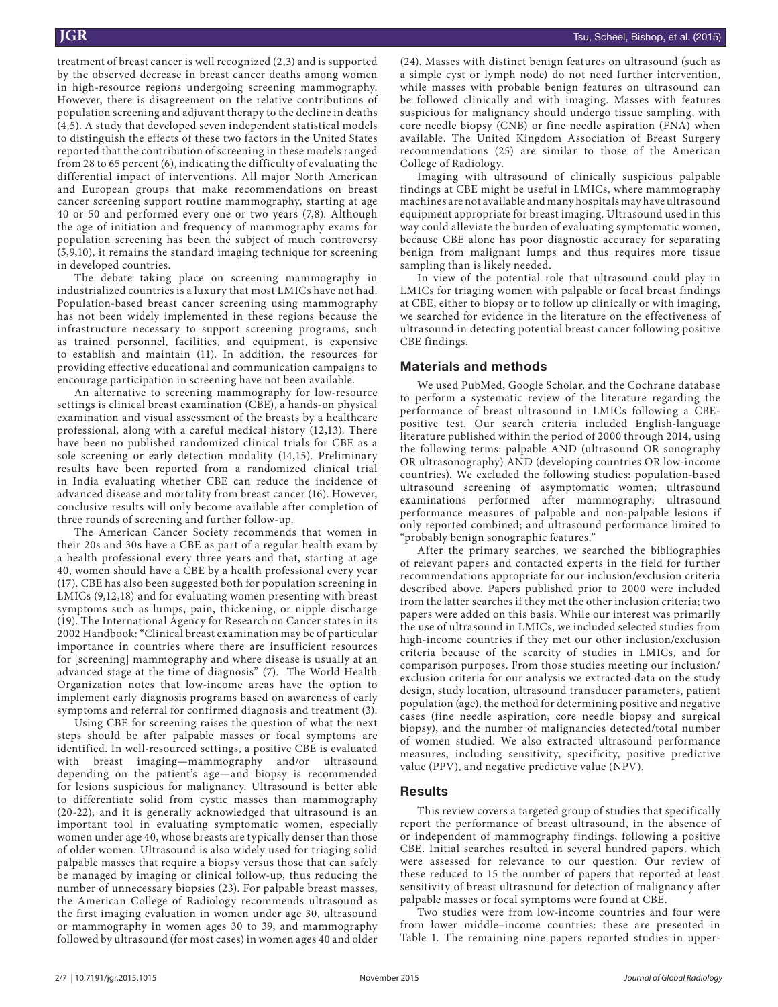treatment of breast cancer is well recognized (2,3) and is supported by the observed decrease in breast cancer deaths among women in high-resource regions undergoing screening mammography. However, there is disagreement on the relative contributions of population screening and adjuvant therapy to the decline in deaths (4,5). A study that developed seven independent statistical models to distinguish the effects of these two factors in the United States reported that the contribution of screening in these models ranged from 28 to 65 percent (6), indicating the difficulty of evaluating the differential impact of interventions. All major North American and European groups that make recommendations on breast cancer screening support routine mammography, starting at age 40 or 50 and performed every one or two years (7,8). Although the age of initiation and frequency of mammography exams for population screening has been the subject of much controversy (5,9,10), it remains the standard imaging technique for screening in developed countries.

The debate taking place on screening mammography in industrialized countries is a luxury that most LMICs have not had. Population-based breast cancer screening using mammography has not been widely implemented in these regions because the infrastructure necessary to support screening programs, such as trained personnel, facilities, and equipment, is expensive to establish and maintain (11). In addition, the resources for providing effective educational and communication campaigns to encourage participation in screening have not been available.

An alternative to screening mammography for low-resource settings is clinical breast examination (CBE), a hands-on physical examination and visual assessment of the breasts by a healthcare professional, along with a careful medical history (12,13). There have been no published randomized clinical trials for CBE as a sole screening or early detection modality (14,15). Preliminary results have been reported from a randomized clinical trial in India evaluating whether CBE can reduce the incidence of advanced disease and mortality from breast cancer (16). However, conclusive results will only become available after completion of three rounds of screening and further follow-up.

The American Cancer Society recommends that women in their 20s and 30s have a CBE as part of a regular health exam by a health professional every three years and that, starting at age 40, women should have a CBE by a health professional every year (17). CBE has also been suggested both for population screening in LMICs (9,12,18) and for evaluating women presenting with breast symptoms such as lumps, pain, thickening, or nipple discharge (19). The International Agency for Research on Cancer states in its 2002 Handbook: "Clinical breast examination may be of particular importance in countries where there are insufficient resources for [screening] mammography and where disease is usually at an advanced stage at the time of diagnosis" (7). The World Health Organization notes that low-income areas have the option to implement early diagnosis programs based on awareness of early symptoms and referral for confirmed diagnosis and treatment (3).

Using CBE for screening raises the question of what the next steps should be after palpable masses or focal symptoms are identified. In well-resourced settings, a positive CBE is evaluated with breast imaging—mammography and/or ultrasound depending on the patient's age—and biopsy is recommended for lesions suspicious for malignancy. Ultrasound is better able to differentiate solid from cystic masses than mammography (20-22), and it is generally acknowledged that ultrasound is an important tool in evaluating symptomatic women, especially women under age 40, whose breasts are typically denser than those of older women. Ultrasound is also widely used for triaging solid palpable masses that require a biopsy versus those that can safely be managed by imaging or clinical follow-up, thus reducing the number of unnecessary biopsies (23). For palpable breast masses, the American College of Radiology recommends ultrasound as the first imaging evaluation in women under age 30, ultrasound or mammography in women ages 30 to 39, and mammography followed by ultrasound (for most cases) in women ages 40 and older (24). Masses with distinct benign features on ultrasound (such as a simple cyst or lymph node) do not need further intervention, while masses with probable benign features on ultrasound can be followed clinically and with imaging. Masses with features suspicious for malignancy should undergo tissue sampling, with core needle biopsy (CNB) or fine needle aspiration (FNA) when available. The United Kingdom Association of Breast Surgery recommendations (25) are similar to those of the American College of Radiology.

Imaging with ultrasound of clinically suspicious palpable findings at CBE might be useful in LMICs, where mammography machines are not available and many hospitals may have ultrasound equipment appropriate for breast imaging. Ultrasound used in this way could alleviate the burden of evaluating symptomatic women, because CBE alone has poor diagnostic accuracy for separating benign from malignant lumps and thus requires more tissue sampling than is likely needed.

In view of the potential role that ultrasound could play in LMICs for triaging women with palpable or focal breast findings at CBE, either to biopsy or to follow up clinically or with imaging, we searched for evidence in the literature on the effectiveness of ultrasound in detecting potential breast cancer following positive CBE findings.

#### **Materials and methods**

We used PubMed, Google Scholar, and the Cochrane database to perform a systematic review of the literature regarding the performance of breast ultrasound in LMICs following a CBEpositive test. Our search criteria included English-language literature published within the period of 2000 through 2014, using the following terms: palpable AND (ultrasound OR sonography OR ultrasonography) AND (developing countries OR low-income countries). We excluded the following studies: population-based ultrasound screening of asymptomatic women; ultrasound examinations performed after mammography; ultrasound performance measures of palpable and non-palpable lesions if only reported combined; and ultrasound performance limited to "probably benign sonographic features."

After the primary searches, we searched the bibliographies of relevant papers and contacted experts in the field for further recommendations appropriate for our inclusion/exclusion criteria described above. Papers published prior to 2000 were included from the latter searches if they met the other inclusion criteria; two papers were added on this basis. While our interest was primarily the use of ultrasound in LMICs, we included selected studies from high-income countries if they met our other inclusion/exclusion criteria because of the scarcity of studies in LMICs, and for comparison purposes. From those studies meeting our inclusion/ exclusion criteria for our analysis we extracted data on the study design, study location, ultrasound transducer parameters, patient population (age), the method for determining positive and negative cases (fine needle aspiration, core needle biopsy and surgical biopsy), and the number of malignancies detected/total number of women studied. We also extracted ultrasound performance measures, including sensitivity, specificity, positive predictive value (PPV), and negative predictive value (NPV).

#### **Results**

This review covers a targeted group of studies that specifically report the performance of breast ultrasound, in the absence of or independent of mammography findings, following a positive CBE. Initial searches resulted in several hundred papers, which were assessed for relevance to our question. Our review of these reduced to 15 the number of papers that reported at least sensitivity of breast ultrasound for detection of malignancy after palpable masses or focal symptoms were found at CBE.

Two studies were from low-income countries and four were from lower middle–income countries: these are presented in Table 1. The remaining nine papers reported studies in upper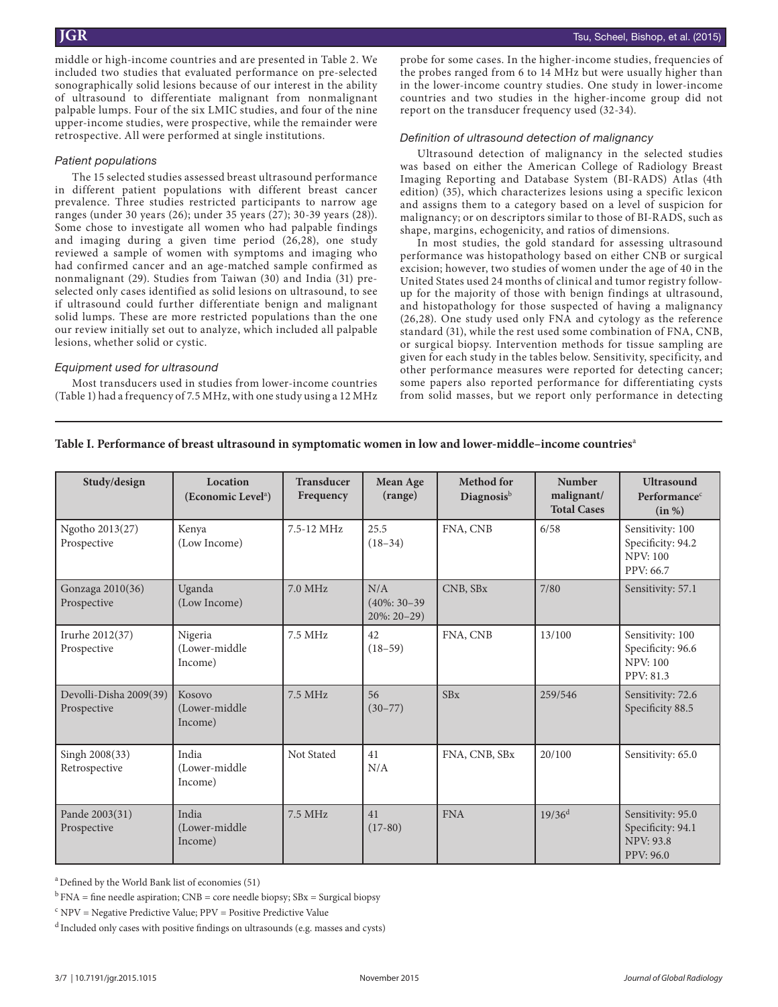middle or high-income countries and are presented in Table 2. We included two studies that evaluated performance on pre-selected sonographically solid lesions because of our interest in the ability of ultrasound to differentiate malignant from nonmalignant palpable lumps. Four of the six LMIC studies, and four of the nine upper-income studies, were prospective, while the remainder were retrospective. All were performed at single institutions.

#### *Patient populations*

The 15 selected studies assessed breast ultrasound performance in different patient populations with different breast cancer prevalence. Three studies restricted participants to narrow age ranges (under 30 years (26); under 35 years (27); 30-39 years (28)). Some chose to investigate all women who had palpable findings and imaging during a given time period (26,28), one study reviewed a sample of women with symptoms and imaging who had confirmed cancer and an age-matched sample confirmed as nonmalignant (29). Studies from Taiwan (30) and India (31) preselected only cases identified as solid lesions on ultrasound, to see if ultrasound could further differentiate benign and malignant solid lumps. These are more restricted populations than the one our review initially set out to analyze, which included all palpable lesions, whether solid or cystic.

#### *Equipment used for ultrasound*

Most transducers used in studies from lower-income countries (Table 1) had a frequency of 7.5 MHz, with one study using a 12 MHz

probe for some cases. In the higher-income studies, frequencies of the probes ranged from 6 to 14 MHz but were usually higher than in the lower-income country studies. One study in lower-income countries and two studies in the higher-income group did not report on the transducer frequency used (32-34).

#### *Definition of ultrasound detection of malignancy*

Ultrasound detection of malignancy in the selected studies was based on either the American College of Radiology Breast Imaging Reporting and Database System (BI-RADS) Atlas (4th edition) (35), which characterizes lesions using a specific lexicon and assigns them to a category based on a level of suspicion for malignancy; or on descriptors similar to those of BI-RADS, such as shape, margins, echogenicity, and ratios of dimensions.

In most studies, the gold standard for assessing ultrasound performance was histopathology based on either CNB or surgical excision; however, two studies of women under the age of 40 in the United States used 24 months of clinical and tumor registry followup for the majority of those with benign findings at ultrasound, and histopathology for those suspected of having a malignancy (26,28). One study used only FNA and cytology as the reference standard (31), while the rest used some combination of FNA, CNB, or surgical biopsy. Intervention methods for tissue sampling are given for each study in the tables below. Sensitivity, specificity, and other performance measures were reported for detecting cancer; some papers also reported performance for differentiating cysts from solid masses, but we report only performance in detecting

#### **Table I. Performance of breast ultrasound in symptomatic women in low and lower-middle–income countries**<sup>a</sup>

| Study/design                          | Location<br>(Economic Level <sup>a</sup> ) | <b>Transducer</b><br>Frequency | Mean Age<br>(range)                   | <b>Method</b> for<br>Diagnosis <sup>b</sup> | <b>Number</b><br>malignant/<br><b>Total Cases</b> | <b>Ultrasound</b><br>Performance <sup>c</sup><br>(in %)                        |
|---------------------------------------|--------------------------------------------|--------------------------------|---------------------------------------|---------------------------------------------|---------------------------------------------------|--------------------------------------------------------------------------------|
| Ngotho 2013(27)<br>Prospective        | Kenya<br>(Low Income)                      | 7.5-12 MHz                     | 25.5<br>$(18-34)$                     | FNA, CNB                                    | 6/58                                              | Sensitivity: 100<br>Specificity: 94.2<br><b>NPV: 100</b><br>PPV: 66.7          |
| Gonzaga 2010(36)<br>Prospective       | Uganda<br>(Low Income)                     | 7.0 MHz                        | N/A<br>$(40\%:30-39)$<br>$20\%:20-29$ | CNB, SBx                                    | 7/80                                              | Sensitivity: 57.1                                                              |
| Irurhe 2012(37)<br>Prospective        | Nigeria<br>(Lower-middle)<br>Income)       | 7.5 MHz                        | 42<br>$(18-59)$                       | FNA, CNB                                    | 13/100                                            | Sensitivity: 100<br>Specificity: 96.6<br><b>NPV: 100</b><br>PPV: 81.3          |
| Devolli-Disha 2009(39)<br>Prospective | Kosovo<br>(Lower-middle<br>Income)         | 7.5 MHz                        | 56<br>$(30 - 77)$                     | SBx                                         | 259/546                                           | Sensitivity: 72.6<br>Specificity 88.5                                          |
| Singh 2008(33)<br>Retrospective       | India<br>(Lower-middle)<br>Income)         | Not Stated                     | 41<br>N/A                             | FNA, CNB, SBx                               | 20/100                                            | Sensitivity: 65.0                                                              |
| Pande 2003(31)<br>Prospective         | India<br>(Lower-middle)<br>Income)         | 7.5 MHz                        | 41<br>$(17-80)$                       | <b>FNA</b>                                  | $19/36^d$                                         | Sensitivity: 95.0<br>Specificity: 94.1<br><b>NPV: 93.8</b><br><b>PPV: 96.0</b> |

a Defined by the World Bank list of economies (51)

 $b$  FNA = fine needle aspiration; CNB = core needle biopsy; SBx = Surgical biopsy

 $\Omega^{\text{c}}$  NPV = Negative Predictive Value; PPV = Positive Predictive Value

 $^{\rm d}$  Included only cases with positive findings on ultrasounds (e.g. masses and cysts)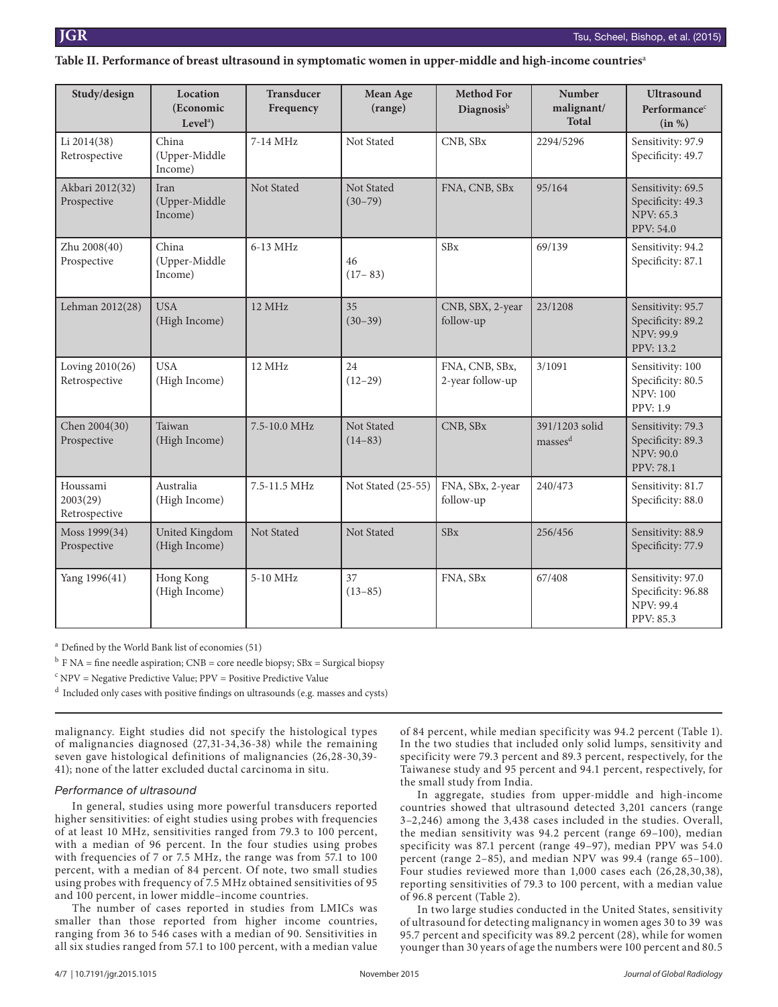#### Table II. Performance of breast ultrasound in symptomatic women in upper-middle and high-income countries<sup>a</sup>

| Study/design                          | Location<br>(Economic<br>Level <sup>a</sup> | <b>Transducer</b><br>Frequency | Mean Age<br>(range)       | <b>Method For</b><br>Diagnosis <sup>b</sup> | <b>Number</b><br>malignant/<br><b>Total</b> | <b>Ultrasound</b><br>Performance <sup>c</sup><br>(in %)                        |
|---------------------------------------|---------------------------------------------|--------------------------------|---------------------------|---------------------------------------------|---------------------------------------------|--------------------------------------------------------------------------------|
| Li 2014(38)<br>Retrospective          | China<br>(Upper-Middle<br>Income)           | 7-14 MHz                       | Not Stated                | CNB, SBx                                    | 2294/5296                                   | Sensitivity: 97.9<br>Specificity: 49.7                                         |
| Akbari 2012(32)<br>Prospective        | Iran<br>(Upper-Middle<br>Income)            | Not Stated                     | Not Stated<br>$(30 - 79)$ | FNA, CNB, SBx                               | 95/164                                      | Sensitivity: 69.5<br>Specificity: 49.3<br><b>NPV: 65.3</b><br>PPV: 54.0        |
| Zhu 2008(40)<br>Prospective           | China<br>(Upper-Middle<br>Income)           | 6-13 MHz                       | 46<br>$(17 - 83)$         | <b>SBx</b>                                  | 69/139                                      | Sensitivity: 94.2<br>Specificity: 87.1                                         |
| Lehman 2012(28)                       | <b>USA</b><br>(High Income)                 | 12 MHz                         | 35<br>$(30-39)$           | CNB, SBX, 2-year<br>follow-up               | 23/1208                                     | Sensitivity: 95.7<br>Specificity: 89.2<br><b>NPV: 99.9</b><br>PPV: 13.2        |
| Loving 2010(26)<br>Retrospective      | <b>USA</b><br>(High Income)                 | 12 MHz                         | 24<br>$(12-29)$           | FNA, CNB, SBx,<br>2-year follow-up          | 3/1091                                      | Sensitivity: 100<br>Specificity: 80.5<br><b>NPV: 100</b><br>PPV: 1.9           |
| Chen 2004(30)<br>Prospective          | Taiwan<br>(High Income)                     | 7.5-10.0 MHz                   | Not Stated<br>$(14 - 83)$ | CNB, SBx                                    | 391/1203 solid<br>masses <sup>d</sup>       | Sensitivity: 79.3<br>Specificity: 89.3<br><b>NPV: 90.0</b><br><b>PPV: 78.1</b> |
| Houssami<br>2003(29)<br>Retrospective | Australia<br>(High Income)                  | 7.5-11.5 MHz                   | Not Stated (25-55)        | FNA, SBx, 2-year<br>follow-up               | 240/473                                     | Sensitivity: 81.7<br>Specificity: 88.0                                         |
| Moss 1999(34)<br>Prospective          | United Kingdom<br>(High Income)             | Not Stated                     | Not Stated                | <b>SBx</b>                                  | 256/456                                     | Sensitivity: 88.9<br>Specificity: 77.9                                         |
| Yang 1996(41)                         | Hong Kong<br>(High Income)                  | 5-10 MHz                       | 37<br>$(13 - 85)$         | FNA, SBx                                    | 67/408                                      | Sensitivity: 97.0<br>Specificity: 96.88<br><b>NPV: 99.4</b><br>PPV: 85.3       |

a Defined by the World Bank list of economies (51)

 $^{\rm b}$  F NA = fine needle aspiration; CNB = core needle biopsy; SBx = Surgical biopsy

<sup>c</sup> NPV = Negative Predictive Value; PPV = Positive Predictive Value

d Included only cases with positive findings on ultrasounds (e.g. masses and cysts)

malignancy. Eight studies did not specify the histological types of malignancies diagnosed (27,31-34,36-38) while the remaining seven gave histological definitions of malignancies (26,28-30,39- 41); none of the latter excluded ductal carcinoma in situ.

#### *Performance of ultrasound*

In general, studies using more powerful transducers reported higher sensitivities: of eight studies using probes with frequencies of at least 10 MHz, sensitivities ranged from 79.3 to 100 percent, with a median of 96 percent. In the four studies using probes with frequencies of 7 or 7.5 MHz, the range was from 57.1 to 100 percent, with a median of 84 percent. Of note, two small studies using probes with frequency of 7.5 MHz obtained sensitivities of 95 and 100 percent, in lower middle–income countries.

The number of cases reported in studies from LMICs was smaller than those reported from higher income countries, ranging from 36 to 546 cases with a median of 90. Sensitivities in all six studies ranged from 57.1 to 100 percent, with a median value of 84 percent, while median specificity was 94.2 percent (Table 1). In the two studies that included only solid lumps, sensitivity and specificity were 79.3 percent and 89.3 percent, respectively, for the Taiwanese study and 95 percent and 94.1 percent, respectively, for the small study from India.

In aggregate, studies from upper-middle and high-income countries showed that ultrasound detected 3,201 cancers (range 3–2,246) among the 3,438 cases included in the studies. Overall, the median sensitivity was 94.2 percent (range 69–100), median specificity was 87.1 percent (range 49–97), median PPV was 54.0 percent (range 2–85), and median NPV was 99.4 (range 65–100). Four studies reviewed more than 1,000 cases each (26,28,30,38), reporting sensitivities of 79.3 to 100 percent, with a median value of 96.8 percent (Table 2).

In two large studies conducted in the United States, sensitivity of ultrasound for detecting malignancy in women ages 30 to 39 was 95.7 percent and specificity was 89.2 percent (28), while for women younger than 30 years of age the numbers were 100 percent and 80.5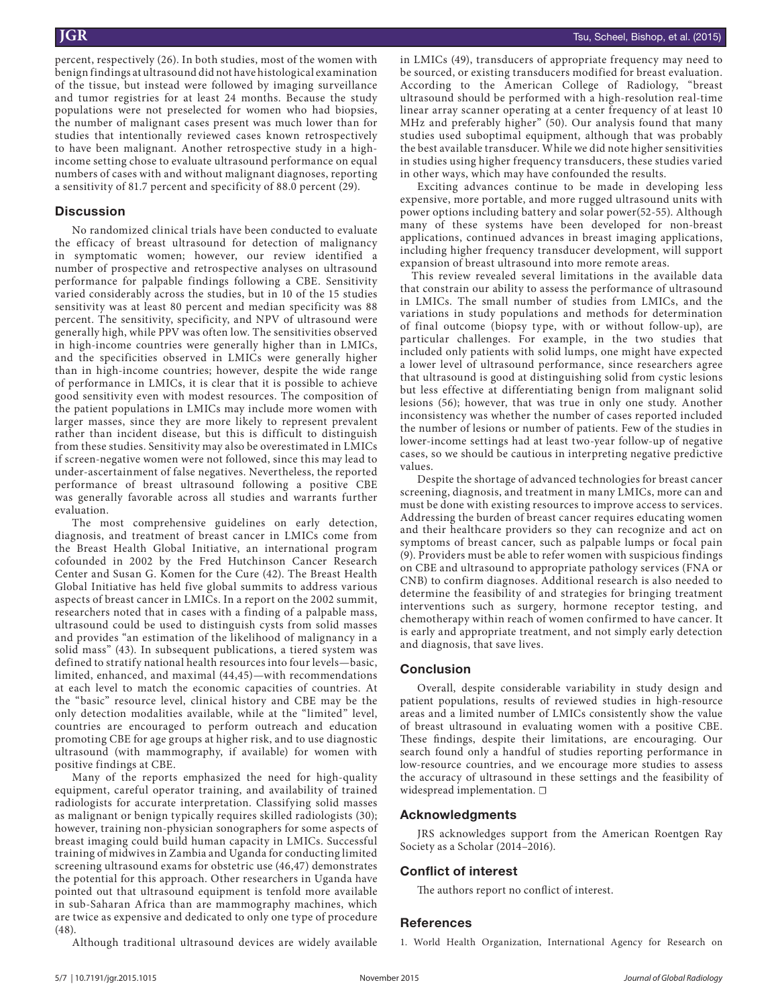percent, respectively (26). In both studies, most of the women with benign findings at ultrasound did not have histological examination of the tissue, but instead were followed by imaging surveillance and tumor registries for at least 24 months. Because the study populations were not preselected for women who had biopsies, the number of malignant cases present was much lower than for studies that intentionally reviewed cases known retrospectively to have been malignant. Another retrospective study in a highincome setting chose to evaluate ultrasound performance on equal numbers of cases with and without malignant diagnoses, reporting a sensitivity of 81.7 percent and specificity of 88.0 percent (29).

#### **Discussion**

No randomized clinical trials have been conducted to evaluate the efficacy of breast ultrasound for detection of malignancy in symptomatic women; however, our review identified a number of prospective and retrospective analyses on ultrasound performance for palpable findings following a CBE. Sensitivity varied considerably across the studies, but in 10 of the 15 studies sensitivity was at least 80 percent and median specificity was 88 percent. The sensitivity, specificity, and NPV of ultrasound were generally high, while PPV was often low. The sensitivities observed in high-income countries were generally higher than in LMICs, and the specificities observed in LMICs were generally higher than in high-income countries; however, despite the wide range of performance in LMICs, it is clear that it is possible to achieve good sensitivity even with modest resources. The composition of the patient populations in LMICs may include more women with larger masses, since they are more likely to represent prevalent rather than incident disease, but this is difficult to distinguish from these studies. Sensitivity may also be overestimated in LMICs if screen-negative women were not followed, since this may lead to under-ascertainment of false negatives. Nevertheless, the reported performance of breast ultrasound following a positive CBE was generally favorable across all studies and warrants further evaluation.

The most comprehensive guidelines on early detection, diagnosis, and treatment of breast cancer in LMICs come from the Breast Health Global Initiative, an international program cofounded in 2002 by the Fred Hutchinson Cancer Research Center and Susan G. Komen for the Cure (42). The Breast Health Global Initiative has held five global summits to address various aspects of breast cancer in LMICs. In a report on the 2002 summit, researchers noted that in cases with a finding of a palpable mass, ultrasound could be used to distinguish cysts from solid masses and provides "an estimation of the likelihood of malignancy in a solid mass" (43). In subsequent publications, a tiered system was defined to stratify national health resources into four levels—basic, limited, enhanced, and maximal (44,45)—with recommendations at each level to match the economic capacities of countries. At the "basic" resource level, clinical history and CBE may be the only detection modalities available, while at the "limited" level, countries are encouraged to perform outreach and education promoting CBE for age groups at higher risk, and to use diagnostic ultrasound (with mammography, if available) for women with positive findings at CBE.

Many of the reports emphasized the need for high-quality equipment, careful operator training, and availability of trained radiologists for accurate interpretation. Classifying solid masses as malignant or benign typically requires skilled radiologists (30); however, training non-physician sonographers for some aspects of breast imaging could build human capacity in LMICs. Successful training of midwives in Zambia and Uganda for conducting limited screening ultrasound exams for obstetric use (46,47) demonstrates the potential for this approach. Other researchers in Uganda have pointed out that ultrasound equipment is tenfold more available in sub-Saharan Africa than are mammography machines, which are twice as expensive and dedicated to only one type of procedure (48).

in LMICs (49), transducers of appropriate frequency may need to be sourced, or existing transducers modified for breast evaluation. According to the American College of Radiology, "breast ultrasound should be performed with a high-resolution real-time linear array scanner operating at a center frequency of at least 10 MHz and preferably higher" (50). Our analysis found that many studies used suboptimal equipment, although that was probably the best available transducer. While we did note higher sensitivities in studies using higher frequency transducers, these studies varied in other ways, which may have confounded the results.

Exciting advances continue to be made in developing less expensive, more portable, and more rugged ultrasound units with power options including battery and solar power(52-55). Although many of these systems have been developed for non-breast applications, continued advances in breast imaging applications, including higher frequency transducer development, will support expansion of breast ultrasound into more remote areas.

This review revealed several limitations in the available data that constrain our ability to assess the performance of ultrasound in LMICs. The small number of studies from LMICs, and the variations in study populations and methods for determination of final outcome (biopsy type, with or without follow-up), are particular challenges. For example, in the two studies that included only patients with solid lumps, one might have expected a lower level of ultrasound performance, since researchers agree that ultrasound is good at distinguishing solid from cystic lesions but less effective at differentiating benign from malignant solid lesions (56); however, that was true in only one study. Another inconsistency was whether the number of cases reported included the number of lesions or number of patients. Few of the studies in lower-income settings had at least two-year follow-up of negative cases, so we should be cautious in interpreting negative predictive values.

Despite the shortage of advanced technologies for breast cancer screening, diagnosis, and treatment in many LMICs, more can and must be done with existing resources to improve access to services. Addressing the burden of breast cancer requires educating women and their healthcare providers so they can recognize and act on symptoms of breast cancer, such as palpable lumps or focal pain (9). Providers must be able to refer women with suspicious findings on CBE and ultrasound to appropriate pathology services (FNA or CNB) to confirm diagnoses. Additional research is also needed to determine the feasibility of and strategies for bringing treatment interventions such as surgery, hormone receptor testing, and chemotherapy within reach of women confirmed to have cancer. It is early and appropriate treatment, and not simply early detection and diagnosis, that save lives.

#### **Conclusion**

Overall, despite considerable variability in study design and patient populations, results of reviewed studies in high-resource areas and a limited number of LMICs consistently show the value of breast ultrasound in evaluating women with a positive CBE. These findings, despite their limitations, are encouraging. Our search found only a handful of studies reporting performance in low-resource countries, and we encourage more studies to assess the accuracy of ultrasound in these settings and the feasibility of widespread implementation. □

#### **Acknowledgments**

JRS acknowledges support from the American Roentgen Ray Society as a Scholar (2014–2016).

#### **Conflict of interest**

The authors report no conflict of interest.

#### **References**

Although traditional ultrasound devices are widely available

1. World Health Organization, International Agency for Research on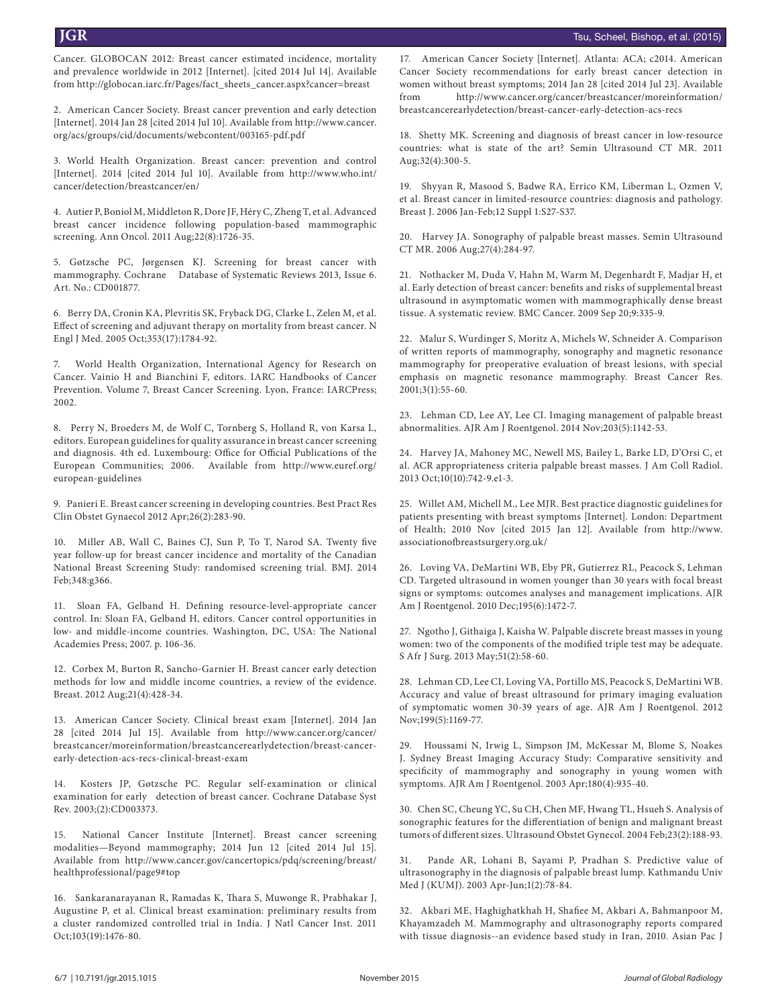Cancer. GLOBOCAN 2012: Breast cancer estimated incidence, mortality and prevalence worldwide in 2012 [Internet]. [cited 2014 Jul 14]. Available from http://globocan.iarc.fr/Pages/fact\_sheets\_cancer.aspx?cancer=breast

2. American Cancer Society. Breast cancer prevention and early detection [Internet]. 2014 Jan 28 [cited 2014 Jul 10]. Available from http://www.cancer. org/acs/groups/cid/documents/webcontent/003165-pdf.pdf

3. World Health Organization. Breast cancer: prevention and control [Internet]. 2014 [cited 2014 Jul 10]. Available from http://www.who.int/ cancer/detection/breastcancer/en/

4. Autier P, Boniol M, Middleton R, Dore JF, Héry C, Zheng T, et al. Advanced breast cancer incidence following population-based mammographic screening. Ann Oncol. 2011 Aug;22(8):1726-35.

5. Gøtzsche PC, Jørgensen KJ. Screening for breast cancer with mammography. Cochrane Database of Systematic Reviews 2013, Issue 6. Art. No.: CD001877.

6. Berry DA, Cronin KA, Plevritis SK, Fryback DG, Clarke L, Zelen M, et al. Effect of screening and adjuvant therapy on mortality from breast cancer. N Engl J Med. 2005 Oct;353(17):1784-92.

7. World Health Organization, International Agency for Research on Cancer. Vainio H and Bianchini F, editors. IARC Handbooks of Cancer Prevention. Volume 7, Breast Cancer Screening. Lyon, France: IARCPress; 2002.

8. Perry N, Broeders M, de Wolf C, Tornberg S, Holland R, von Karsa L, editors. European guidelines for quality assurance in breast cancer screening and diagnosis. 4th ed. Luxembourg: Office for Official Publications of the European Communities; 2006. Available from http://www.euref.org/ european-guidelines

9. Panieri E. Breast cancer screening in developing countries. Best Pract Res Clin Obstet Gynaecol 2012 Apr;26(2):283-90.

10. Miller AB, Wall C, Baines CJ, Sun P, To T, Narod SA. Twenty five year follow-up for breast cancer incidence and mortality of the Canadian National Breast Screening Study: randomised screening trial. BMJ. 2014 Feb;348:g366.

11. Sloan FA, Gelband H. Defining resource-level-appropriate cancer control. In: Sloan FA, Gelband H, editors. Cancer control opportunities in low- and middle-income countries. Washington, DC, USA: The National Academies Press; 2007. p. 106-36.

12. Corbex M, Burton R, Sancho-Garnier H. Breast cancer early detection methods for low and middle income countries, a review of the evidence. Breast. 2012 Aug;21(4):428-34.

13. American Cancer Society. Clinical breast exam [Internet]. 2014 Jan 28 [cited 2014 Jul 15]. Available from http://www.cancer.org/cancer/ breastcancer/moreinformation/breastcancerearlydetection/breast-cancerearly-detection-acs-recs-clinical-breast-exam

14. Kosters JP, Gøtzsche PC. Regular self-examination or clinical examination for early detection of breast cancer. Cochrane Database Syst Rev. 2003;(2):CD003373.

15. National Cancer Institute [Internet]. Breast cancer screening modalities—Beyond mammography; 2014 Jun 12 [cited 2014 Jul 15]. Available from http://www.cancer.gov/cancertopics/pdq/screening/breast/ healthprofessional/page9#top

16. Sankaranarayanan R, Ramadas K, Thara S, Muwonge R, Prabhakar J, Augustine P, et al. Clinical breast examination: preliminary results from a cluster randomized controlled trial in India. J Natl Cancer Inst. 2011 Oct;103(19):1476-80.

17. American Cancer Society [Internet]. Atlanta: ACA; c2014. American Cancer Society recommendations for early breast cancer detection in women without breast symptoms; 2014 Jan 28 [cited 2014 Jul 23]. Available from http://www.cancer.org/cancer/breastcancer/moreinformation/ breastcancerearlydetection/breast-cancer-early-detection-acs-recs

18. Shetty MK. Screening and diagnosis of breast cancer in low-resource countries: what is state of the art? Semin Ultrasound CT MR. 2011 Aug;32(4):300-5.

19. Shyyan R, Masood S, Badwe RA, Errico KM, Liberman L, Ozmen V, et al. Breast cancer in limited-resource countries: diagnosis and pathology. Breast J. 2006 Jan-Feb;12 Suppl 1:S27-S37.

20. Harvey JA. Sonography of palpable breast masses. Semin Ultrasound CT MR. 2006 Aug;27(4):284-97.

21. Nothacker M, Duda V, Hahn M, Warm M, Degenhardt F, Madjar H, et al. Early detection of breast cancer: benefits and risks of supplemental breast ultrasound in asymptomatic women with mammographically dense breast tissue. A systematic review. BMC Cancer. 2009 Sep 20;9:335-9.

22. Malur S, Wurdinger S, Moritz A, Michels W, Schneider A. Comparison of written reports of mammography, sonography and magnetic resonance mammography for preoperative evaluation of breast lesions, with special emphasis on magnetic resonance mammography. Breast Cancer Res. 2001;3(1):55-60.

23. Lehman CD, Lee AY, Lee CI. Imaging management of palpable breast abnormalities. AJR Am J Roentgenol. 2014 Nov;203(5):1142-53.

24. Harvey JA, Mahoney MC, Newell MS, Bailey L, Barke LD, D'Orsi C, et al. ACR appropriateness criteria palpable breast masses. J Am Coll Radiol. 2013 Oct;10(10):742-9.e1-3.

25. Willet AM, Michell M., Lee MJR. Best practice diagnostic guidelines for patients presenting with breast symptoms [Internet]. London: Department of Health; 2010 Nov [cited 2015 Jan 12]. Available from http://www. associationofbreastsurgery.org.uk/

26. Loving VA, DeMartini WB, Eby PR, Gutierrez RL, Peacock S, Lehman CD. Targeted ultrasound in women younger than 30 years with focal breast signs or symptoms: outcomes analyses and management implications. AJR Am J Roentgenol. 2010 Dec;195(6):1472-7.

27. Ngotho J, Githaiga J, Kaisha W. Palpable discrete breast masses in young women: two of the components of the modified triple test may be adequate. S Afr J Surg. 2013 May;51(2):58-60.

28. Lehman CD, Lee CI, Loving VA, Portillo MS, Peacock S, DeMartini WB. Accuracy and value of breast ultrasound for primary imaging evaluation of symptomatic women 30-39 years of age. AJR Am J Roentgenol. 2012 Nov;199(5):1169-77.

29. Houssami N, Irwig L, Simpson JM, McKessar M, Blome S, Noakes J. Sydney Breast Imaging Accuracy Study: Comparative sensitivity and specificity of mammography and sonography in young women with symptoms. AJR Am J Roentgenol. 2003 Apr;180(4):935-40.

30. Chen SC, Cheung YC, Su CH, Chen MF, Hwang TL, Hsueh S. Analysis of sonographic features for the differentiation of benign and malignant breast tumors of different sizes. Ultrasound Obstet Gynecol. 2004 Feb;23(2):188-93.

31. Pande AR, Lohani B, Sayami P, Pradhan S. Predictive value of ultrasonography in the diagnosis of palpable breast lump. Kathmandu Univ Med J (KUMJ). 2003 Apr-Jun;1(2):78-84.

32. Akbari ME, Haghighatkhah H, Shafiee M, Akbari A, Bahmanpoor M, Khayamzadeh M. Mammography and ultrasonography reports compared with tissue diagnosis--an evidence based study in Iran, 2010. Asian Pac J